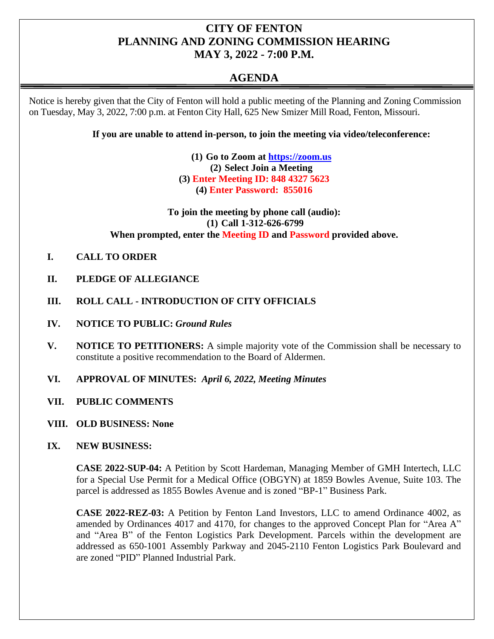## **CITY OF FENTON PLANNING AND ZONING COMMISSION HEARING MAY 3, 2022 - 7:00 P.M.**

# **AGENDA**

Notice is hereby given that the City of Fenton will hold a public meeting of the Planning and Zoning Commission on Tuesday, May 3, 2022, 7:00 p.m. at Fenton City Hall, 625 New Smizer Mill Road, Fenton, Missouri.

**If you are unable to attend in-person, to join the meeting via video/teleconference:**

**(1) Go to Zoom at [https://zoom.us](https://zoom.us/) (2) Select Join a Meeting (3) Enter Meeting ID: 848 4327 5623 (4) Enter Password: 855016**

**To join the meeting by phone call (audio): (1) Call 1-312-626-6799 When prompted, enter the Meeting ID and Password provided above.**

- **I. CALL TO ORDER**
- **II. PLEDGE OF ALLEGIANCE**
- **III. ROLL CALL - INTRODUCTION OF CITY OFFICIALS**
- **IV. NOTICE TO PUBLIC:** *Ground Rules*
- **V. NOTICE TO PETITIONERS:** A simple majority vote of the Commission shall be necessary to constitute a positive recommendation to the Board of Aldermen.
- **VI. APPROVAL OF MINUTES:** *April 6, 2022, Meeting Minutes*
- **VII. PUBLIC COMMENTS**
- **VIII. OLD BUSINESS: None**
- **IX. NEW BUSINESS:**

**CASE 2022-SUP-04:** A Petition by Scott Hardeman, Managing Member of GMH Intertech, LLC for a Special Use Permit for a Medical Office (OBGYN) at 1859 Bowles Avenue, Suite 103. The parcel is addressed as 1855 Bowles Avenue and is zoned "BP-1" Business Park.

**CASE 2022-REZ-03:** A Petition by Fenton Land Investors, LLC to amend Ordinance 4002, as amended by Ordinances 4017 and 4170, for changes to the approved Concept Plan for "Area A" and "Area B" of the Fenton Logistics Park Development. Parcels within the development are addressed as 650-1001 Assembly Parkway and 2045-2110 Fenton Logistics Park Boulevard and are zoned "PID" Planned Industrial Park.